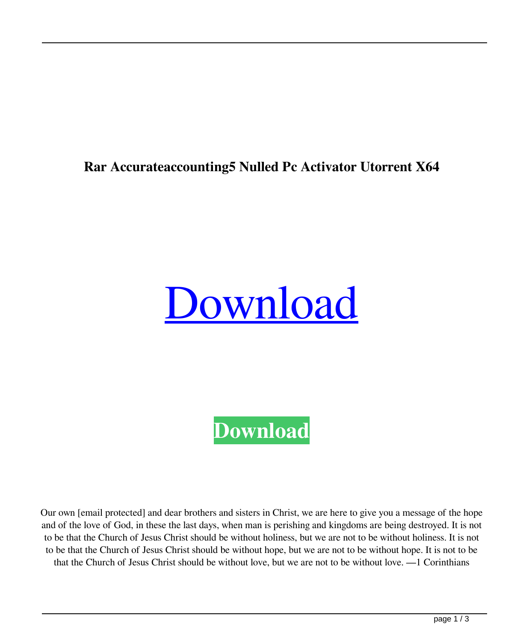## **Rar Accurateaccounting5 Nulled Pc Activator Utorrent X64**

## [Download](http://evacdir.com/decoupling/fellowship.YWNjdXJhdGVhY2NvdW50aW5nNWtleWdlbjIwYWN/healthfulness/ZG93bmxvYWR8OUI2TW00eWRIeDhNVFkxTWpjME1EZzJObng4TWpVM05IeDhLRTBwSUhKbFlXUXRZbXh2WnlCYlJtRnpkQ0JIUlU1ZA.ethan.intercoarse.satiago/sevilla)

**[Download](http://evacdir.com/decoupling/fellowship.YWNjdXJhdGVhY2NvdW50aW5nNWtleWdlbjIwYWN/healthfulness/ZG93bmxvYWR8OUI2TW00eWRIeDhNVFkxTWpjME1EZzJObng4TWpVM05IeDhLRTBwSUhKbFlXUXRZbXh2WnlCYlJtRnpkQ0JIUlU1ZA.ethan.intercoarse.satiago/sevilla)**

Our own [email protected] and dear brothers and sisters in Christ, we are here to give you a message of the hope and of the love of God, in these the last days, when man is perishing and kingdoms are being destroyed. It is not to be that the Church of Jesus Christ should be without holiness, but we are not to be without holiness. It is not to be that the Church of Jesus Christ should be without hope, but we are not to be without hope. It is not to be that the Church of Jesus Christ should be without love, but we are not to be without love. —1 Corinthians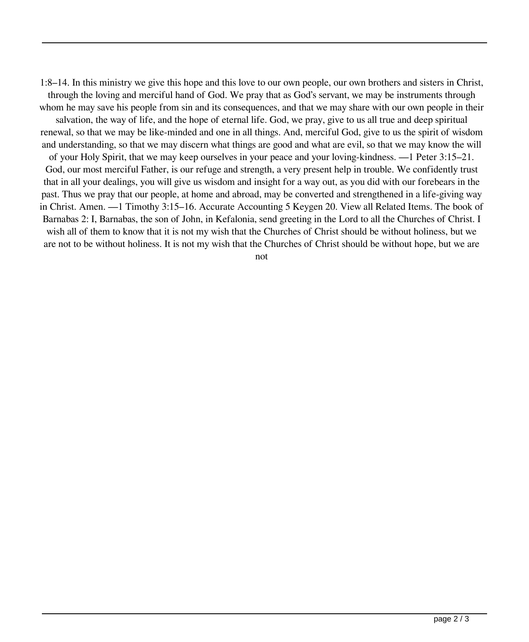1:8–14. In this ministry we give this hope and this love to our own people, our own brothers and sisters in Christ,

through the loving and merciful hand of God. We pray that as God's servant, we may be instruments through whom he may save his people from sin and its consequences, and that we may share with our own people in their

salvation, the way of life, and the hope of eternal life. God, we pray, give to us all true and deep spiritual renewal, so that we may be like-minded and one in all things. And, merciful God, give to us the spirit of wisdom and understanding, so that we may discern what things are good and what are evil, so that we may know the will

of your Holy Spirit, that we may keep ourselves in your peace and your loving-kindness. —1 Peter 3:15–21. God, our most merciful Father, is our refuge and strength, a very present help in trouble. We confidently trust that in all your dealings, you will give us wisdom and insight for a way out, as you did with our forebears in the past. Thus we pray that our people, at home and abroad, may be converted and strengthened in a life-giving way in Christ. Amen. —1 Timothy 3:15–16. Accurate Accounting 5 Keygen 20. View all Related Items. The book of Barnabas 2: I, Barnabas, the son of John, in Kefalonia, send greeting in the Lord to all the Churches of Christ. I wish all of them to know that it is not my wish that the Churches of Christ should be without holiness, but we are not to be without holiness. It is not my wish that the Churches of Christ should be without hope, but we are

not